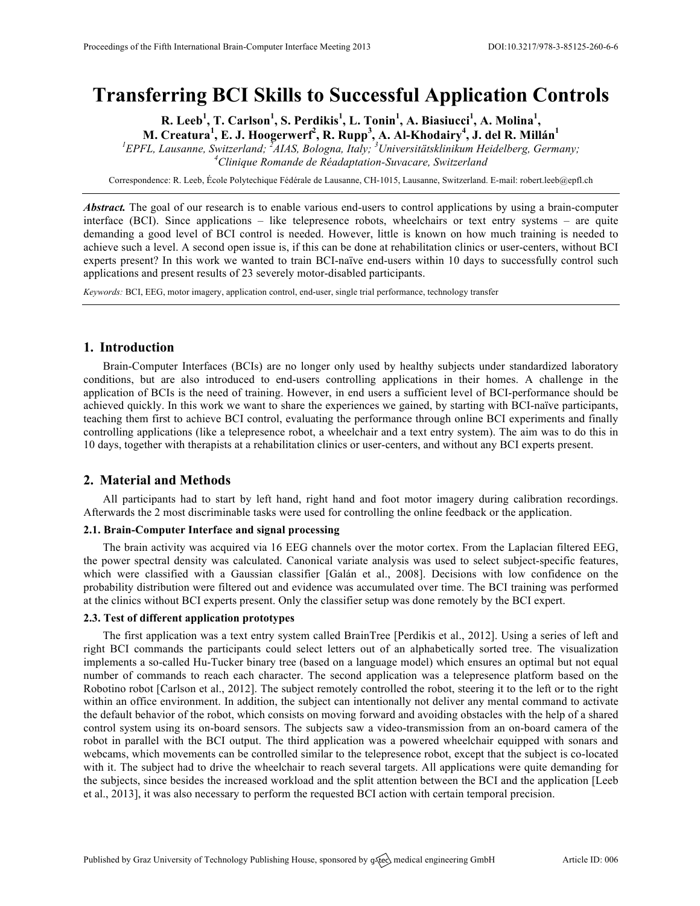# **Transferring BCI Skills to Successful Application Controls**

**R. Leeb<sup>1</sup> , T. Carlson<sup>1</sup> , S. Perdikis<sup>1</sup> , L. Tonin<sup>1</sup> , A. Biasiucci<sup>1</sup> , A. Molina<sup>1</sup> , M. Creatura<sup>1</sup> , E. J. Hoogerwerf<sup>2</sup> , R. Rupp<sup>3</sup> , A. Al-Khodairy<sup>4</sup> , J. del R. Millán<sup>1</sup>**

<sup>1</sup> *EPFL, Lausanne, Switzerland;* <sup>*2</sup>AIAS, Bologna, Italy;* <sup>3</sup> *Universitätsklinikum Heidelberg, Germany; 4Clinique Bermande de Bégdantation Supraegue Switzerland*</sup> *Clinique Romande de Réadaptation-Suvacare, Switzerland*

Correspondence: R. Leeb, École Polytechique Fédérale de Lausanne, CH-1015, Lausanne, Switzerland. E-mail: robert.leeb@epfl.ch

*Abstract.* The goal of our research is to enable various end-users to control applications by using a brain-computer interface (BCI). Since applications – like telepresence robots, wheelchairs or text entry systems – are quite demanding a good level of BCI control is needed. However, little is known on how much training is needed to achieve such a level. A second open issue is, if this can be done at rehabilitation clinics or user-centers, without BCI experts present? In this work we wanted to train BCI-naïve end-users within 10 days to successfully control such applications and present results of 23 severely motor-disabled participants.

*Keywords:* BCI, EEG, motor imagery, application control, end-user, single trial performance, technology transfer

# **1. Introduction**

Brain-Computer Interfaces (BCIs) are no longer only used by healthy subjects under standardized laboratory conditions, but are also introduced to end-users controlling applications in their homes. A challenge in the application of BCIs is the need of training. However, in end users a sufficient level of BCI-performance should be achieved quickly. In this work we want to share the experiences we gained, by starting with BCI-naïve participants, teaching them first to achieve BCI control, evaluating the performance through online BCI experiments and finally controlling applications (like a telepresence robot, a wheelchair and a text entry system). The aim was to do this in 10 days, together with therapists at a rehabilitation clinics or user-centers, and without any BCI experts present.

# **2. Material and Methods**

All participants had to start by left hand, right hand and foot motor imagery during calibration recordings. Afterwards the 2 most discriminable tasks were used for controlling the online feedback or the application.

## **2.1. Brain-Computer Interface and signal processing**

The brain activity was acquired via 16 EEG channels over the motor cortex. From the Laplacian filtered EEG, the power spectral density was calculated. Canonical variate analysis was used to select subject-specific features, which were classified with a Gaussian classifier [Galán et al., 2008]. Decisions with low confidence on the probability distribution were filtered out and evidence was accumulated over time. The BCI training was performed at the clinics without BCI experts present. Only the classifier setup was done remotely by the BCI expert.

#### **2.3. Test of different application prototypes**

The first application was a text entry system called BrainTree [Perdikis et al., 2012]. Using a series of left and right BCI commands the participants could select letters out of an alphabetically sorted tree. The visualization implements a so-called Hu-Tucker binary tree (based on a language model) which ensures an optimal but not equal number of commands to reach each character. The second application was a telepresence platform based on the Robotino robot [Carlson et al., 2012]. The subject remotely controlled the robot, steering it to the left or to the right within an office environment. In addition, the subject can intentionally not deliver any mental command to activate the default behavior of the robot, which consists on moving forward and avoiding obstacles with the help of a shared control system using its on-board sensors. The subjects saw a video-transmission from an on-board camera of the robot in parallel with the BCI output. The third application was a powered wheelchair equipped with sonars and webcams, which movements can be controlled similar to the telepresence robot, except that the subject is co-located with it. The subject had to drive the wheelchair to reach several targets. All applications were quite demanding for the subjects, since besides the increased workload and the split attention between the BCI and the application [Leeb et al., 2013], it was also necessary to perform the requested BCI action with certain temporal precision.